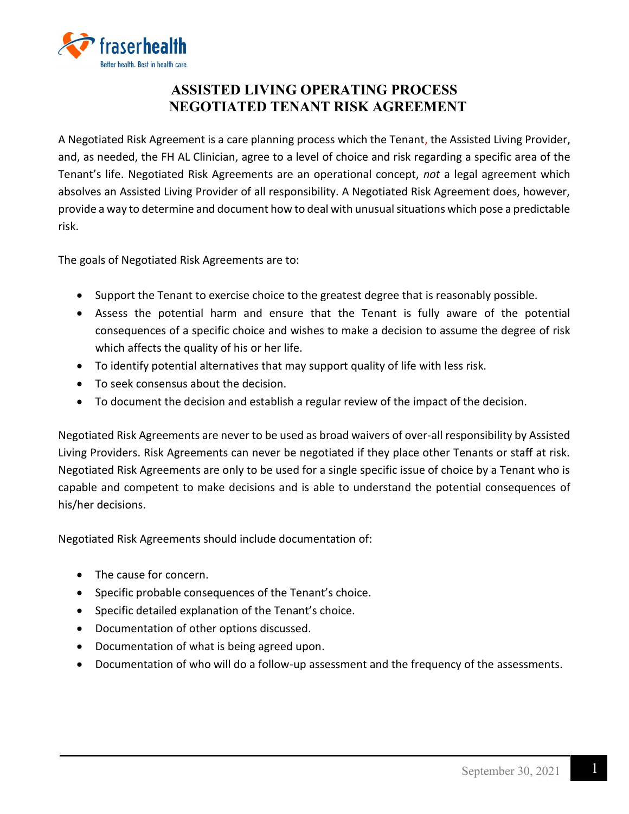

## **ASSISTED LIVING OPERATING PROCESS NEGOTIATED TENANT RISK AGREEMENT**

A Negotiated Risk Agreement is a care planning process which the Tenant, the Assisted Living Provider, and, as needed, the FH AL Clinician, agree to a level of choice and risk regarding a specific area of the Tenant's life. Negotiated Risk Agreements are an operational concept, *not* a legal agreement which absolves an Assisted Living Provider of all responsibility. A Negotiated Risk Agreement does, however, provide a way to determine and document how to deal with unusual situations which pose a predictable risk.

The goals of Negotiated Risk Agreements are to:

- Support the Tenant to exercise choice to the greatest degree that is reasonably possible.
- Assess the potential harm and ensure that the Tenant is fully aware of the potential consequences of a specific choice and wishes to make a decision to assume the degree of risk which affects the quality of his or her life.
- To identify potential alternatives that may support quality of life with less risk.
- To seek consensus about the decision.
- To document the decision and establish a regular review of the impact of the decision.

Negotiated Risk Agreements are never to be used as broad waivers of over-all responsibility by Assisted Living Providers. Risk Agreements can never be negotiated if they place other Tenants or staff at risk. Negotiated Risk Agreements are only to be used for a single specific issue of choice by a Tenant who is capable and competent to make decisions and is able to understand the potential consequences of his/her decisions.

Negotiated Risk Agreements should include documentation of:

- The cause for concern.
- Specific probable consequences of the Tenant's choice.
- Specific detailed explanation of the Tenant's choice.
- Documentation of other options discussed.
- Documentation of what is being agreed upon.
- Documentation of who will do a follow-up assessment and the frequency of the assessments.